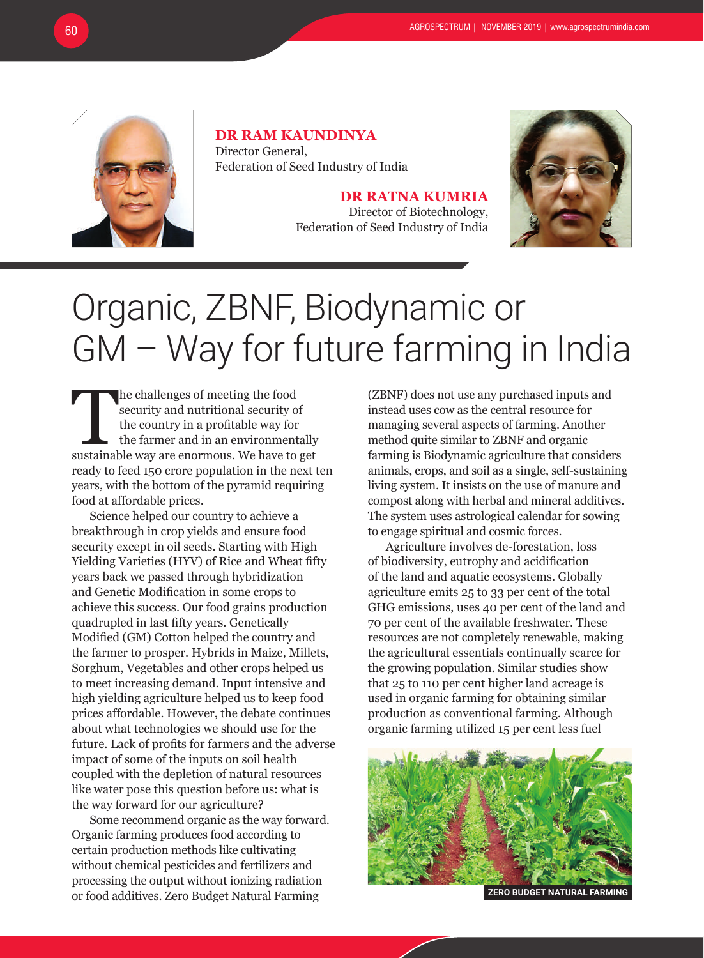

**DR RAM KAUNDINYA** Director General, Federation of Seed Industry of India

## **DR RATNA KUMRIA** Director of Biotechnology, Federation of Seed Industry of India



## Organic, ZBNF, Biodynamic or GM – Way for future farming in India

The challenges of meeting the food security and nutritional security of the country in a profitable way for the farmer and in an environmentally sustainable way are enormous. We have to get security and nutritional security of the country in a profitable way for the farmer and in an environmentally ready to feed 150 crore population in the next ten years, with the bottom of the pyramid requiring food at affordable prices.

Science helped our country to achieve a breakthrough in crop yields and ensure food security except in oil seeds. Starting with High Yielding Varieties (HYV) of Rice and Wheat fifty years back we passed through hybridization and Genetic Modification in some crops to achieve this success. Our food grains production quadrupled in last fifty years. Genetically Modified (GM) Cotton helped the country and the farmer to prosper. Hybrids in Maize, Millets, Sorghum, Vegetables and other crops helped us to meet increasing demand. Input intensive and high yielding agriculture helped us to keep food prices affordable. However, the debate continues about what technologies we should use for the future. Lack of profits for farmers and the adverse impact of some of the inputs on soil health coupled with the depletion of natural resources like water pose this question before us: what is the way forward for our agriculture?

Some recommend organic as the way forward. Organic farming produces food according to certain production methods like cultivating without chemical pesticides and fertilizers and processing the output without ionizing radiation or food additives. Zero Budget Natural Farming

(ZBNF) does not use any purchased inputs and instead uses cow as the central resource for managing several aspects of farming. Another method quite similar to ZBNF and organic farming is Biodynamic agriculture that considers animals, crops, and soil as a single, self-sustaining living system. It insists on the use of manure and compost along with herbal and mineral additives. The system uses astrological calendar for sowing to engage spiritual and cosmic forces.

Agriculture involves de-forestation, loss of biodiversity, eutrophy and acidification of the land and aquatic ecosystems. Globally agriculture emits 25 to 33 per cent of the total GHG emissions, uses 40 per cent of the land and 70 per cent of the available freshwater. These resources are not completely renewable, making the agricultural essentials continually scarce for the growing population. Similar studies show that 25 to 110 per cent higher land acreage is used in organic farming for obtaining similar production as conventional farming. Although organic farming utilized 15 per cent less fuel



**ZERO BUDGET NATURAL FARMING**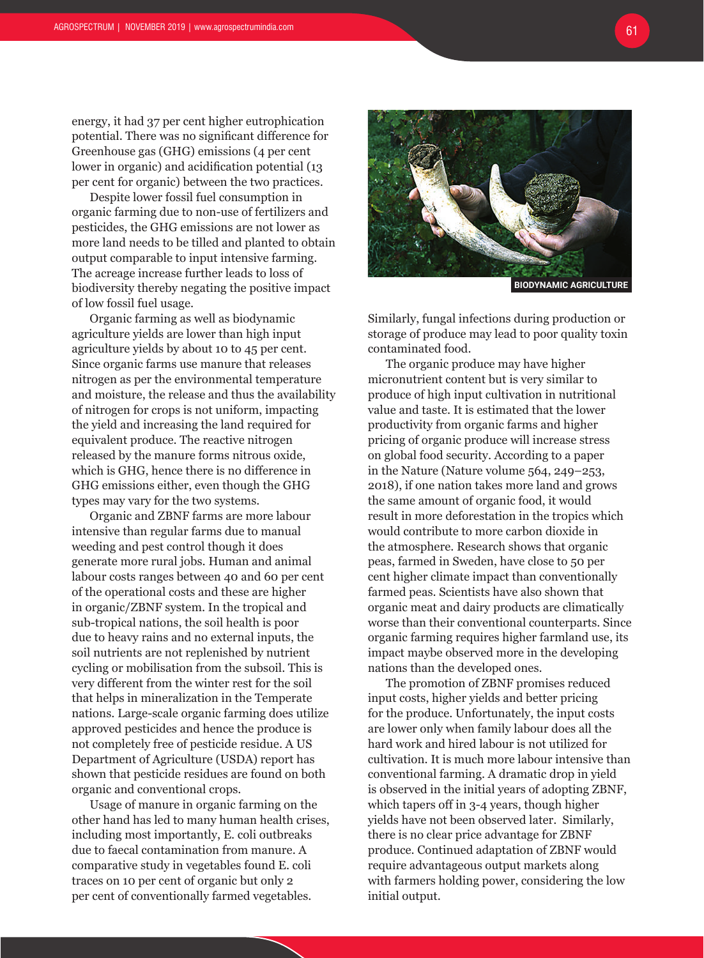energy, it had 37 per cent higher eutrophication potential. There was no significant difference for Greenhouse gas (GHG) emissions (4 per cent lower in organic) and acidification potential (13 per cent for organic) between the two practices.

Despite lower fossil fuel consumption in organic farming due to non-use of fertilizers and pesticides, the GHG emissions are not lower as more land needs to be tilled and planted to obtain output comparable to input intensive farming. The acreage increase further leads to loss of biodiversity thereby negating the positive impact of low fossil fuel usage.

Organic farming as well as biodynamic agriculture yields are lower than high input agriculture yields by about 10 to 45 per cent. Since organic farms use manure that releases nitrogen as per the environmental temperature and moisture, the release and thus the availability of nitrogen for crops is not uniform, impacting the yield and increasing the land required for equivalent produce. The reactive nitrogen released by the manure forms nitrous oxide, which is GHG, hence there is no difference in GHG emissions either, even though the GHG types may vary for the two systems.

Organic and ZBNF farms are more labour intensive than regular farms due to manual weeding and pest control though it does generate more rural jobs. Human and animal labour costs ranges between 40 and 60 per cent of the operational costs and these are higher in organic/ZBNF system. In the tropical and sub-tropical nations, the soil health is poor due to heavy rains and no external inputs, the soil nutrients are not replenished by nutrient cycling or mobilisation from the subsoil. This is very different from the winter rest for the soil that helps in mineralization in the Temperate nations. Large-scale organic farming does utilize approved pesticides and hence the produce is not completely free of pesticide residue. A US Department of Agriculture (USDA) report has shown that pesticide residues are found on both organic and conventional crops.

Usage of manure in organic farming on the other hand has led to many human health crises, including most importantly, E. coli outbreaks due to faecal contamination from manure. A comparative study in vegetables found E. coli traces on 10 per cent of organic but only 2 per cent of conventionally farmed vegetables.



**BIODYNAMIC AGRICULTURE**

Similarly, fungal infections during production or storage of produce may lead to poor quality toxin contaminated food.

The organic produce may have higher micronutrient content but is very similar to produce of high input cultivation in nutritional value and taste. It is estimated that the lower productivity from organic farms and higher pricing of organic produce will increase stress on global food security. According to a paper in the Nature (Nature volume 564, 249–253, 2018), if one nation takes more land and grows the same amount of organic food, it would result in more deforestation in the tropics which would contribute to more carbon dioxide in the atmosphere. Research shows that organic peas, farmed in Sweden, have close to 50 per cent higher climate impact than conventionally farmed peas. Scientists have also shown that organic meat and dairy products are climatically worse than their conventional counterparts. Since organic farming requires higher farmland use, its impact maybe observed more in the developing nations than the developed ones.

The promotion of ZBNF promises reduced input costs, higher yields and better pricing for the produce. Unfortunately, the input costs are lower only when family labour does all the hard work and hired labour is not utilized for cultivation. It is much more labour intensive than conventional farming. A dramatic drop in yield is observed in the initial years of adopting ZBNF, which tapers off in 3-4 years, though higher yields have not been observed later. Similarly, there is no clear price advantage for ZBNF produce. Continued adaptation of ZBNF would require advantageous output markets along with farmers holding power, considering the low initial output.